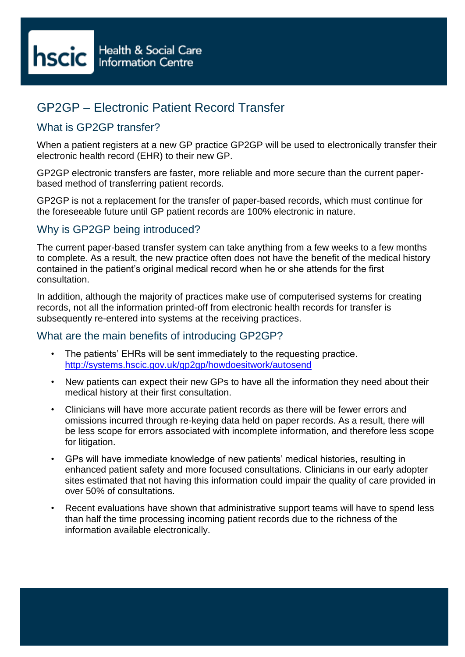# GP2GP – Electronic Patient Record Transfer

## What is GP2GP transfer?

When a patient registers at a new GP practice GP2GP will be used to electronically transfer their electronic health record (EHR) to their new GP.

GP2GP electronic transfers are faster, more reliable and more secure than the current paperbased method of transferring patient records.

GP2GP is not a replacement for the transfer of paper-based records, which must continue for the foreseeable future until GP patient records are 100% electronic in nature.

## Why is GP2GP being introduced?

The current paper-based transfer system can take anything from a few weeks to a few months to complete. As a result, the new practice often does not have the benefit of the medical history contained in the patient's original medical record when he or she attends for the first consultation.

In addition, although the majority of practices make use of computerised systems for creating records, not all the information printed-off from electronic health records for transfer is subsequently re-entered into systems at the receiving practices.

#### What are the main benefits of introducing GP2GP?

- The patients' EHRs will be sent immediately to the requesting practice. <http://systems.hscic.gov.uk/gp2gp/howdoesitwork/autosend>
- New patients can expect their new GPs to have all the information they need about their medical history at their first consultation.
- Clinicians will have more accurate patient records as there will be fewer errors and omissions incurred through re-keying data held on paper records. As a result, there will be less scope for errors associated with incomplete information, and therefore less scope for litigation.
- GPs will have immediate knowledge of new patients' medical histories, resulting in enhanced patient safety and more focused consultations. Clinicians in our early adopter sites estimated that not having this information could impair the quality of care provided in over 50% of consultations.
- Recent evaluations have shown that administrative support teams will have to spend less than half the time processing incoming patient records due to the richness of the information available electronically.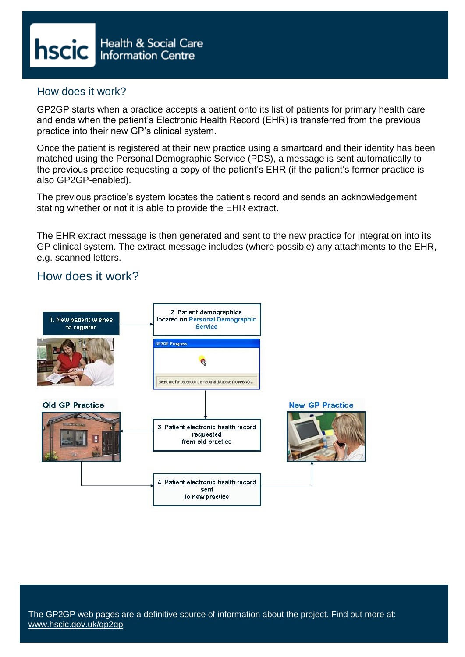

### How does it work?

GP2GP starts when a practice accepts a patient onto its list of patients for primary health care and ends when the patient's Electronic Health Record (EHR) is transferred from the previous practice into their new GP's clinical system.

Once the patient is registered at their new practice using a smartcard and their identity has been matched using the Personal Demographic Service (PDS), a message is sent automatically to the previous practice requesting a copy of the patient's EHR (if the patient's former practice is also GP2GP-enabled).

The previous practice's system locates the patient's record and sends an acknowledgement stating whether or not it is able to provide the EHR extract.

The EHR extract message is then generated and sent to the new practice for integration into its GP clinical system. The extract message includes (where possible) any attachments to the EHR, e.g. scanned letters.

# How does it work?